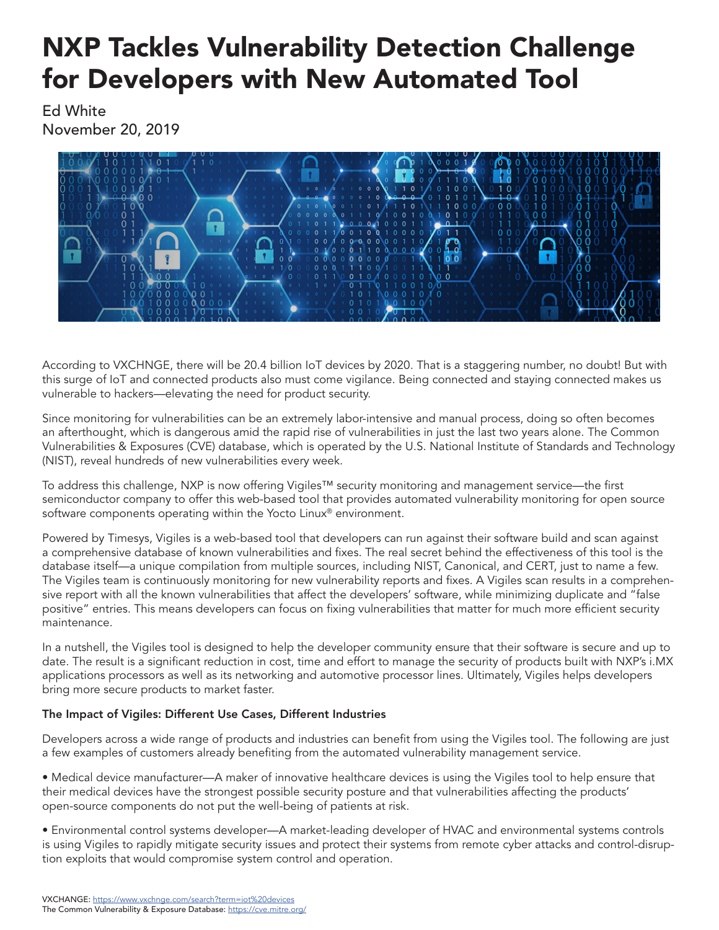## NXP Tackles Vulnerability Detection Challenge for Developers with New Automated Tool

Ed White November 20, 2019



According to VXCHNGE, there will be 20.4 billion IoT devices by 2020. That is a staggering number, no doubt! But with this surge of IoT and connected products also must come vigilance. Being connected and staying connected makes us vulnerable to hackers—elevating the need for product security.

Since monitoring for vulnerabilities can be an extremely labor-intensive and manual process, doing so often becomes an afterthought, which is dangerous amid the rapid rise of vulnerabilities in just the last two years alone. The Common Vulnerabilities & Exposures (CVE) database, which is operated by the U.S. National Institute of Standards and Technology (NIST), reveal hundreds of new vulnerabilities every week.

To address this challenge, NXP is now offering Vigiles™ security monitoring and management service—the first semiconductor company to offer this web-based tool that provides automated vulnerability monitoring for open source software components operating within the Yocto Linux<sup>®</sup> environment.

Powered by Timesys, Vigiles is a web-based tool that developers can run against their software build and scan against a comprehensive database of known vulnerabilities and fixes. The real secret behind the effectiveness of this tool is the database itself—a unique compilation from multiple sources, including NIST, Canonical, and CERT, just to name a few. The Vigiles team is continuously monitoring for new vulnerability reports and fixes. A Vigiles scan results in a comprehensive report with all the known vulnerabilities that affect the developers' software, while minimizing duplicate and "false positive" entries. This means developers can focus on fixing vulnerabilities that matter for much more efficient security maintenance.

In a nutshell, the Vigiles tool is designed to help the developer community ensure that their software is secure and up to date. The result is a significant reduction in cost, time and effort to manage the security of products built with NXP's i.MX applications processors as well as its networking and automotive processor lines. Ultimately, Vigiles helps developers bring more secure products to market faster.

## The Impact of Vigiles: Different Use Cases, Different Industries

Developers across a wide range of products and industries can benefit from using the Vigiles tool. The following are just a few examples of customers already benefiting from the automated vulnerability management service.

• Medical device manufacturer—A maker of innovative healthcare devices is using the Vigiles tool to help ensure that their medical devices have the strongest possible security posture and that vulnerabilities affecting the products' open-source components do not put the well-being of patients at risk.

• Environmental control systems developer—A market-leading developer of HVAC and environmental systems controls is using Vigiles to rapidly mitigate security issues and protect their systems from remote cyber attacks and control-disruption exploits that would compromise system control and operation.